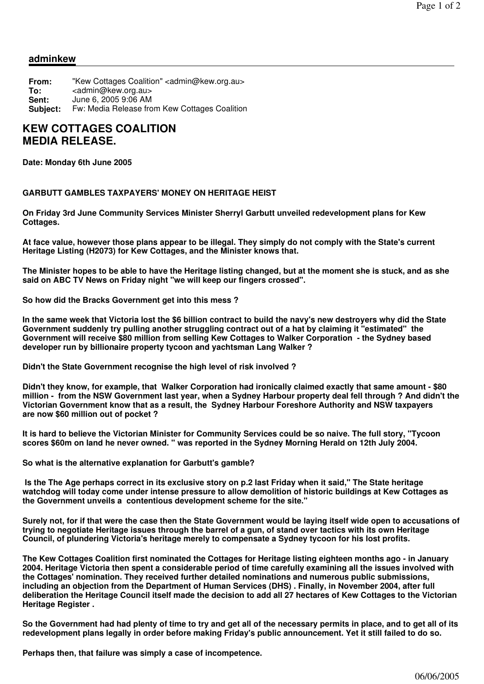## **adminkew**

| From:    | "Kew Cottages Coalition" <admin@kew.org.au></admin@kew.org.au> |
|----------|----------------------------------------------------------------|
| To:      | <admin@kew.org.au></admin@kew.org.au>                          |
| Sent:    | June 6, 2005 9:06 AM                                           |
| Subject: | Fw: Media Release from Kew Cottages Coalition                  |

## **KEW COTTAGES COALITION MEDIA RELEASE.**

**Date: Monday 6th June 2005**

## **GARBUTT GAMBLES TAXPAYERS' MONEY ON HERITAGE HEIST**

**On Friday 3rd June Community Services Minister Sherryl Garbutt unveiled redevelopment plans for Kew Cottages.**

**At face value, however those plans appear to be illegal. They simply do not comply with the State's current Heritage Listing (H2073) for Kew Cottages, and the Minister knows that.**

**The Minister hopes to be able to have the Heritage listing changed, but at the moment she is stuck, and as she said on ABC TV News on Friday night "we will keep our fingers crossed".**

**So how did the Bracks Government get into this mess ?**

**In the same week that Victoria lost the \$6 billion contract to build the navy's new destroyers why did the State Government suddenly try pulling another struggling contract out of a hat by claiming it "estimated" the Government will receive \$80 million from selling Kew Cottages to Walker Corporation - the Sydney based developer run by billionaire property tycoon and yachtsman Lang Walker ?**

**Didn't the State Government recognise the high level of risk involved ?** 

**Didn't they know, for example, that Walker Corporation had ironically claimed exactly that same amount - \$80 million - from the NSW Government last year, when a Sydney Harbour property deal fell through ? And didn't the Victorian Government know that as a result, the Sydney Harbour Foreshore Authority and NSW taxpayers are now \$60 million out of pocket ?** 

**It is hard to believe the Victorian Minister for Community Services could be so naive. The full story, "Tycoon scores \$60m on land he never owned. " was reported in the Sydney Morning Herald on 12th July 2004.**

**So what is the alternative explanation for Garbutt's gamble?**

**Is the The Age perhaps correct in its exclusive story on p.2 last Friday when it said," The State heritage watchdog will today come under intense pressure to allow demolition of historic buildings at Kew Cottages as the Government unveils a contentious development scheme for the site."**

**Surely not, for if that were the case then the State Government would be laying itself wide open to accusations of trying to negotiate Heritage issues through the barrel of a gun, of stand over tactics with its own Heritage Council, of plundering Victoria's heritage merely to compensate a Sydney tycoon for his lost profits.** 

**The Kew Cottages Coalition first nominated the Cottages for Heritage listing eighteen months ago - in January 2004. Heritage Victoria then spent a considerable period of time carefully examining all the issues involved with the Cottages' nomination. They received further detailed nominations and numerous public submissions, including an objection from the Department of Human Services (DHS) . Finally, in November 2004, after full deliberation the Heritage Council itself made the decision to add all 27 hectares of Kew Cottages to the Victorian Heritage Register .**

**So the Government had had plenty of time to try and get all of the necessary permits in place, and to get all of its redevelopment plans legally in order before making Friday's public announcement. Yet it still failed to do so.**

**Perhaps then, that failure was simply a case of incompetence.**